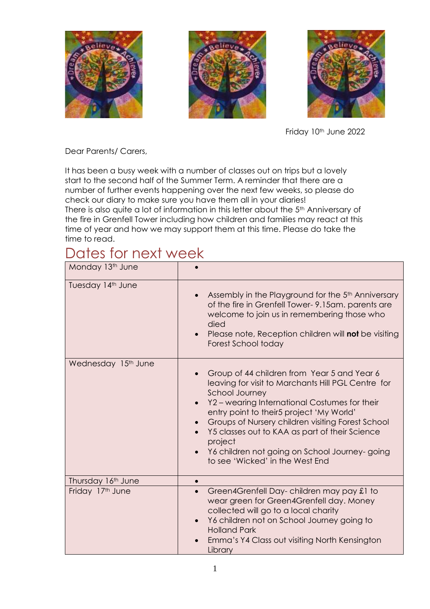





Friday 10<sup>th</sup> June 2022

Dear Parents/ Carers,

It has been a busy week with a number of classes out on trips but a lovely start to the second half of the Summer Term. A reminder that there are a number of further events happening over the next few weeks, so please do check our diary to make sure you have them all in your diaries!

There is also quite a lot of information in this letter about the 5<sup>th</sup> Anniversary of the fire in Grenfell Tower including how children and families may react at this time of year and how we may support them at this time. Please do take the time to read.

### Dates for next week

| Monday 13th June                |                                                                                                                                                                                                                                                                                                                                                                                                                               |
|---------------------------------|-------------------------------------------------------------------------------------------------------------------------------------------------------------------------------------------------------------------------------------------------------------------------------------------------------------------------------------------------------------------------------------------------------------------------------|
| Tuesday 14th June               | Assembly in the Playground for the 5 <sup>th</sup> Anniversary<br>of the fire in Grenfell Tower-9.15am. parents are<br>welcome to join us in remembering those who<br>died<br>Please note, Reception children will not be visiting<br>Forest School today                                                                                                                                                                     |
| Wednesday 15 <sup>th</sup> June | Group of 44 children from Year 5 and Year 6<br>leaving for visit to Marchants Hill PGL Centre for<br><b>School Journey</b><br>Y2 - wearing International Costumes for their<br>entry point to their5 project 'My World'<br>Groups of Nursery children visiting Forest School<br>Y5 classes out to KAA as part of their Science<br>project<br>Y6 children not going on School Journey-going<br>to see 'Wicked' in the West End |
| Thursday 16th June              |                                                                                                                                                                                                                                                                                                                                                                                                                               |
| Friday 17th June                | Green4Grenfell Day-children may pay £1 to<br>$\bullet$<br>wear green for Green4Grenfell day. Money<br>collected will go to a local charity<br>Y6 children not on School Journey going to<br><b>Holland Park</b><br>Emma's Y4 Class out visiting North Kensington<br>Library                                                                                                                                                   |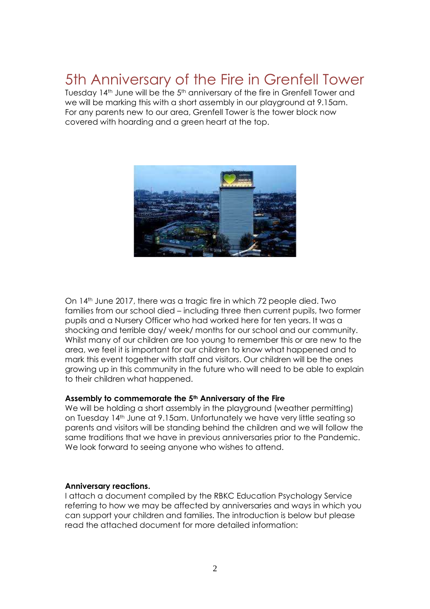### 5th Anniversary of the Fire in Grenfell Tower

Tuesday 14<sup>th</sup> June will be the 5<sup>th</sup> anniversary of the fire in Grenfell Tower and we will be marking this with a short assembly in our playground at 9.15am. For any parents new to our area, Grenfell Tower is the tower block now covered with hoarding and a green heart at the top.



On 14th June 2017, there was a tragic fire in which 72 people died. Two families from our school died – including three then current pupils, two former pupils and a Nursery Officer who had worked here for ten years. It was a shocking and terrible day/ week/ months for our school and our community. Whilst many of our children are too young to remember this or are new to the area, we feel it is important for our children to know what happened and to mark this event together with staff and visitors. Our children will be the ones growing up in this community in the future who will need to be able to explain to their children what happened.

#### **Assembly to commemorate the 5th Anniversary of the Fire**

We will be holding a short assembly in the playground (weather permitting) on Tuesday 14th June at 9.15am. Unfortunately we have very little seating so parents and visitors will be standing behind the children and we will follow the same traditions that we have in previous anniversaries prior to the Pandemic. We look forward to seeing anyone who wishes to attend.

#### **Anniversary reactions.**

I attach a document compiled by the RBKC Education Psychology Service referring to how we may be affected by anniversaries and ways in which you can support your children and families. The introduction is below but please read the attached document for more detailed information: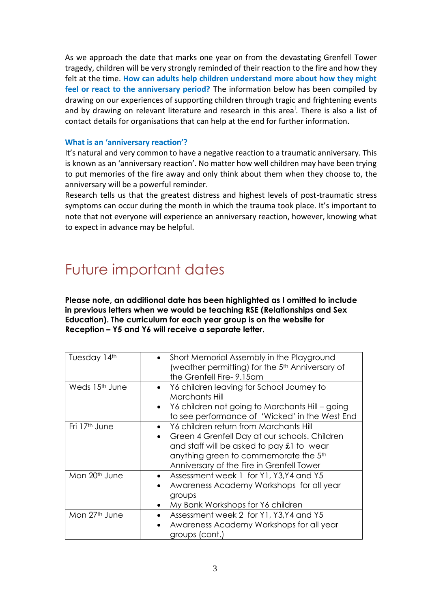As we approach the date that marks one year on from the devastating Grenfell Tower tragedy, children will be very strongly reminded of their reaction to the fire and how they felt at the time. **How can adults help children understand more about how they might feel or react to the anniversary period?** The information below has been compiled by drawing on our experiences of supporting children through tragic and frightening events and by drawing on relevant literature and research in this area<sup>i</sup>. There is also a list of contact details for organisations that can help at the end for further information.

#### **What is an 'anniversary reaction'?**

It's natural and very common to have a negative reaction to a traumatic anniversary. This is known as an 'anniversary reaction'. No matter how well children may have been trying to put memories of the fire away and only think about them when they choose to, the anniversary will be a powerful reminder.

Research tells us that the greatest distress and highest levels of post-traumatic stress symptoms can occur during the month in which the trauma took place. It's important to note that not everyone will experience an anniversary reaction, however, knowing what to expect in advance may be helpful.

### Future important dates

**Please note, an additional date has been highlighted as I omitted to include in previous letters when we would be teaching RSE (Relationships and Sex Education). The curriculum for each year group is on the website for Reception – Y5 and Y6 will receive a separate letter.**

| Tuesday 14th               | • Short Memorial Assembly in the Playground<br>(weather permitting) for the 5 <sup>th</sup> Anniversary of<br>the Grenfell Fire-9.15am                                                                                                               |
|----------------------------|------------------------------------------------------------------------------------------------------------------------------------------------------------------------------------------------------------------------------------------------------|
| Weds 15 <sup>th</sup> June | Y6 children leaving for School Journey to<br>$\bullet$<br>Marchants Hill<br>Y6 children not going to Marchants Hill - going<br>$\bullet$<br>to see performance of 'Wicked' in the West End                                                           |
| Fri 17 <sup>th</sup> June  | Y6 children return from Marchants Hill<br>$\bullet$<br>Green 4 Grenfell Day at our schools. Children<br>$\bullet$<br>and staff will be asked to pay £1 to wear<br>anything green to commemorate the 5th<br>Anniversary of the Fire in Grenfell Tower |
| Mon 20 <sup>th</sup> June  | Assessment week 1 for Y1, Y3, Y4 and Y5<br>$\bullet$<br>Awareness Academy Workshops for all year<br>$\bullet$<br>groups<br>My Bank Workshops for Y6 children                                                                                         |
| Mon 27th June              | Assessment week 2 for Y1, Y3, Y4 and Y5<br>Awareness Academy Workshops for all year<br>groups (cont.)                                                                                                                                                |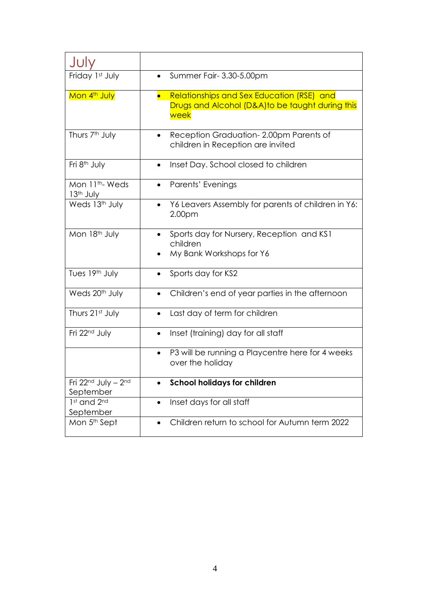| Julv                                   |                                                                                                      |
|----------------------------------------|------------------------------------------------------------------------------------------------------|
| Friday 1st July                        | Summer Fair- 3.30-5.00pm                                                                             |
| Mon 4 <sup>th</sup> July               | Relationships and Sex Education (RSE) and<br>Drugs and Alcohol (D&A)to be taught during this<br>week |
| Thurs 7 <sup>th</sup> July             | Reception Graduation-2.00pm Parents of<br>children in Reception are invited                          |
| Fri 8 <sup>th</sup> July               | Inset Day. School closed to children                                                                 |
| Mon 11th-Weds<br>13 <sup>th</sup> July | Parents' Evenings                                                                                    |
| Weds 13th July                         | Y6 Leavers Assembly for parents of children in Y6:<br>2.00pm                                         |
| Mon 18th July                          | Sports day for Nursery, Reception and KS1<br>children<br>My Bank Workshops for Y6                    |
| Tues 19th July                         | Sports day for KS2                                                                                   |
| Weds 20 <sup>th</sup> July             | Children's end of year parties in the afternoon                                                      |
| Thurs 21st July                        | Last day of term for children<br>$\bullet$                                                           |
| Fri 22 <sup>nd</sup> July              | Inset (training) day for all staff                                                                   |
|                                        | P3 will be running a Playcentre here for 4 weeks<br>$\bullet$<br>over the holiday                    |
| Fri 22nd July - 2nd<br>September       | <b>School holidays for children</b>                                                                  |
| 1st and 2nd<br>September               | Inset days for all staff<br>$\bullet$                                                                |
| Mon 5 <sup>th</sup> Sept               | Children return to school for Autumn term 2022                                                       |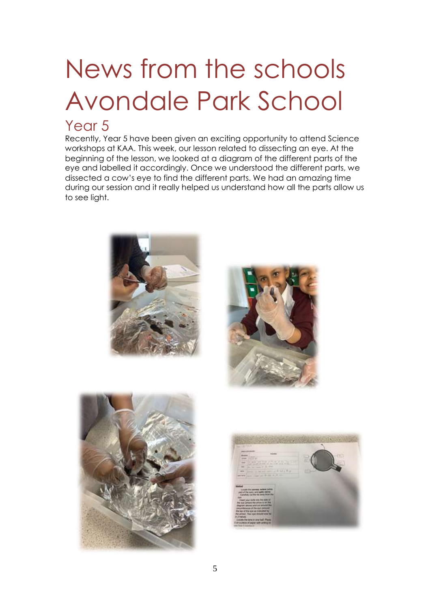# News from the schools Avondale Park School

### Year<sub>5</sub>

Recently, Year 5 have been given an exciting opportunity to attend Science workshops at KAA. This week, our lesson related to dissecting an eye. At the beginning of the lesson, we looked at a diagram of the different parts of the eye and labelled it accordingly. Once we understood the different parts, we dissected a cow's eye to find the different parts. We had an amazing time during our session and it really helped us understand how all the parts allow us to see light.







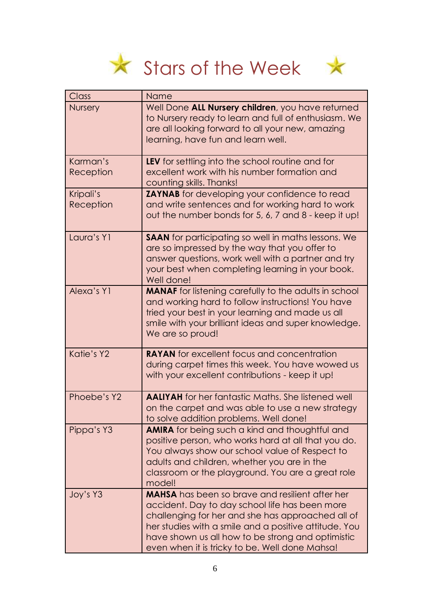



| Class                  | Name                                                                                                                                                                                                                                                                                                                          |
|------------------------|-------------------------------------------------------------------------------------------------------------------------------------------------------------------------------------------------------------------------------------------------------------------------------------------------------------------------------|
| <b>Nursery</b>         | Well Done ALL Nursery children, you have returned<br>to Nursery ready to learn and full of enthusiasm. We<br>are all looking forward to all your new, amazing<br>learning, have fun and learn well.                                                                                                                           |
| Karman's<br>Reception  | LEV for settling into the school routine and for<br>excellent work with his number formation and<br>counting skills. Thanks!                                                                                                                                                                                                  |
| Kripali's<br>Reception | <b>ZAYNAB</b> for developing your confidence to read<br>and write sentences and for working hard to work<br>out the number bonds for 5, 6, 7 and 8 - keep it up!                                                                                                                                                              |
| Laura's Y1             | <b>SAAN</b> for participating so well in maths lessons. We<br>are so impressed by the way that you offer to<br>answer questions, work well with a partner and try<br>your best when completing learning in your book.<br>Well done!                                                                                           |
| Alexa's Y1             | <b>MANAF</b> for listening carefully to the adults in school<br>and working hard to follow instructions! You have<br>tried your best in your learning and made us all<br>smile with your brilliant ideas and super knowledge.<br>We are so proud!                                                                             |
| Katie's Y2             | <b>RAYAN</b> for excellent focus and concentration<br>during carpet times this week. You have wowed us<br>with your excellent contributions - keep it up!                                                                                                                                                                     |
| Phoebe's Y2            | <b>AALIYAH</b> for her fantastic Maths. She listened well<br>on the carpet and was able to use a new strategy<br>to solve addition problems. Well done!                                                                                                                                                                       |
| Pippa's Y3             | <b>AMIRA</b> for being such a kind and thoughtful and<br>positive person, who works hard at all that you do.<br>You always show our school value of Respect to<br>adults and children, whether you are in the<br>classroom or the playground. You are a great role<br>model!                                                  |
| Joy's Y3               | <b>MAHSA</b> has been so brave and resilient after her<br>accident. Day to day school life has been more<br>challenging for her and she has approached all of<br>her studies with a smile and a positive attitude. You<br>have shown us all how to be strong and optimistic<br>even when it is tricky to be. Well done Mahsa! |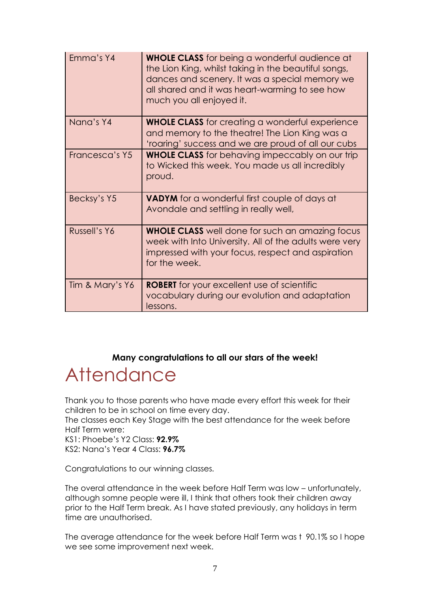| Emma's Y4       | <b>WHOLE CLASS</b> for being a wonderful audience at<br>the Lion King, whilst taking in the beautiful songs,<br>dances and scenery. It was a special memory we<br>all shared and it was heart-warming to see how<br>much you all enjoyed it. |
|-----------------|----------------------------------------------------------------------------------------------------------------------------------------------------------------------------------------------------------------------------------------------|
| Nana's Y4       | <b>WHOLE CLASS</b> for creating a wonderful experience<br>and memory to the theatre! The Lion King was a<br>'roaring' success and we are proud of all our cubs                                                                               |
| Francesca's Y5  | <b>WHOLE CLASS</b> for behaving impeccably on our trip<br>to Wicked this week. You made us all incredibly<br>proud.                                                                                                                          |
| Becksy's Y5     | <b>VADYM</b> for a wonderful first couple of days at<br>Avondale and settling in really well,                                                                                                                                                |
| Russell's Y6    | <b>WHOLE CLASS</b> well done for such an amazing focus<br>week with Into University. All of the adults were very<br>impressed with your focus, respect and aspiration<br>for the week.                                                       |
| Tim & Mary's Y6 | <b>ROBERT</b> for your excellent use of scientific<br>vocabulary during our evolution and adaptation<br>lessons.                                                                                                                             |

#### **Many congratulations to all our stars of the week!**

# **Attendance**

Thank you to those parents who have made every effort this week for their children to be in school on time every day.

The classes each Key Stage with the best attendance for the week before Half Term were:

KS1: Phoebe's Y2 Class: **92.9%**

KS2: Nana's Year 4 Class: **96.7%**

Congratulations to our winning classes.

The overal attendance in the week before Half Term was low – unfortunately, although somne people were ill, I think that others took their children away prior to the Half Term break. As I have stated previously, any holidays in term time are unauthorised.

The average attendance for the week before Half Term was t 90.1% so I hope we see some improvement next week.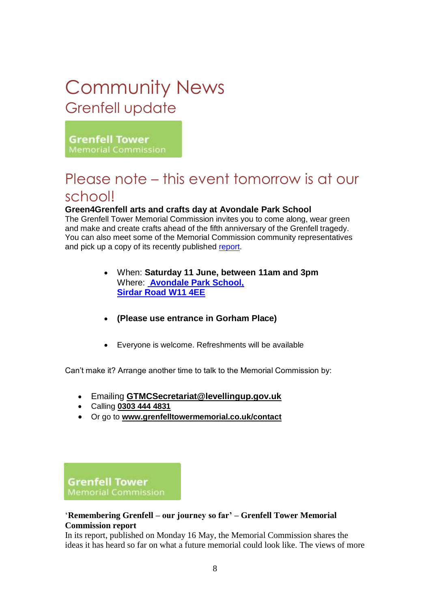## Community News Grenfell update

**Grenfell Tower** Memorial Commission

### Please note – this event tomorrow is at our school!

#### **Green4Grenfell arts and crafts day at Avondale Park School**

The Grenfell Tower Memorial Commission invites you to come along, wear green and make and create crafts ahead of the fifth anniversary of the Grenfell tragedy. You can also meet some of the Memorial Commission community representatives and pick up a copy of its recently published [report.](https://gbr01.safelinks.protection.outlook.com/?url=https%3A%2F%2Fwww.grenfelltowermemorial.co.uk%2Freport&data=05%7C01%7CDorota.Thomas%40levellingup.gov.uk%7Ca9b085f29329486d2fca08da42f9743b%7Cbf3468109c7d43dea87224a2ef3995a8%7C0%7C0%7C637895936395739371%7CUnknown%7CTWFpbGZsb3d8eyJWIjoiMC4wLjAwMDAiLCJQIjoiV2luMzIiLCJBTiI6Ik1haWwiLCJXVCI6Mn0%3D%7C3000%7C%7C%7C&sdata=NqKBqcpR%2BHIZaxU1MFSD%2F27A2PPj6HYcRC9XLvAf0wQ%3D&reserved=0)

- When: **Saturday 11 June, between 11am and 3pm** Where: **[Avondale Park](https://gbr01.safelinks.protection.outlook.com/?url=http%3A%2F%2Fapsafederation.com%2FStAnnesContactus.html&data=05%7C01%7CDorota.Thomas%40levellingup.gov.uk%7Ca9b085f29329486d2fca08da42f9743b%7Cbf3468109c7d43dea87224a2ef3995a8%7C0%7C0%7C637895936395739371%7CUnknown%7CTWFpbGZsb3d8eyJWIjoiMC4wLjAwMDAiLCJQIjoiV2luMzIiLCJBTiI6Ik1haWwiLCJXVCI6Mn0%3D%7C3000%7C%7C%7C&sdata=NTOY%2BjHJTsCr4y%2B0M7kn9Wvrs4Pbk8Palcj%2FDNtSmwY%3D&reserved=0) School, [Sirdar Road W11 4EE](https://gbr01.safelinks.protection.outlook.com/?url=http%3A%2F%2Fapsafederation.com%2FStAnnesContactus.html&data=05%7C01%7CDorota.Thomas%40levellingup.gov.uk%7Ca9b085f29329486d2fca08da42f9743b%7Cbf3468109c7d43dea87224a2ef3995a8%7C0%7C0%7C637895936395739371%7CUnknown%7CTWFpbGZsb3d8eyJWIjoiMC4wLjAwMDAiLCJQIjoiV2luMzIiLCJBTiI6Ik1haWwiLCJXVCI6Mn0%3D%7C3000%7C%7C%7C&sdata=NTOY%2BjHJTsCr4y%2B0M7kn9Wvrs4Pbk8Palcj%2FDNtSmwY%3D&reserved=0)**
- **(Please use entrance in Gorham Place)**
- Everyone is welcome. Refreshments will be available

Can't make it? Arrange another time to talk to the Memorial Commission by:

- Emailing **[GTMCSecretariat@levellingup.gov.uk](mailto:GTMCSecretariat@levellingup.gov.uk)**
- Calling **[0303 444 4831](tel:0303%20444%204831)**
- Or go to **[www.grenfelltowermemorial.co.uk/contact](https://gbr01.safelinks.protection.outlook.com/?url=https%3A%2F%2Fwww.grenfelltowermemorial.co.uk%2Fcontact&data=05%7C01%7CDorota.Thomas%40levellingup.gov.uk%7Ca9b085f29329486d2fca08da42f9743b%7Cbf3468109c7d43dea87224a2ef3995a8%7C0%7C0%7C637895936395739371%7CUnknown%7CTWFpbGZsb3d8eyJWIjoiMC4wLjAwMDAiLCJQIjoiV2luMzIiLCJBTiI6Ik1haWwiLCJXVCI6Mn0%3D%7C3000%7C%7C%7C&sdata=6cjngpX8m4YLMIzxNnyghLjeAnHLc2wZXjP%2F%2B58xFpM%3D&reserved=0)**

**Grenfell Tower Memorial Commission** 

#### '**Remembering Grenfell – our journey so far' – Grenfell Tower Memorial Commission report**

In its report, published on Monday 16 May, the Memorial Commission shares the ideas it has heard so far on what a future memorial could look like. The views of more